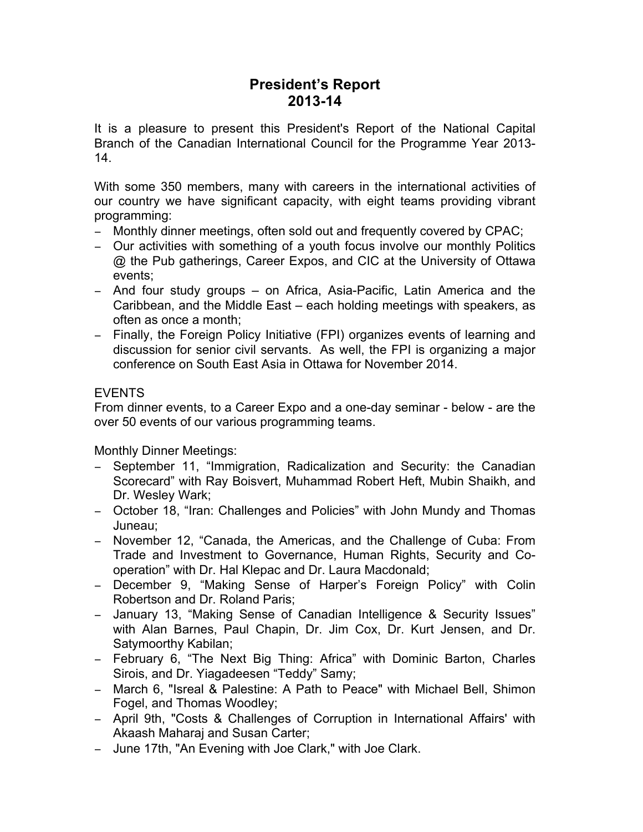# **President's Report 2013-14**

It is a pleasure to present this President's Report of the National Capital Branch of the Canadian International Council for the Programme Year 2013- 14.

With some 350 members, many with careers in the international activities of our country we have significant capacity, with eight teams providing vibrant programming:

- − Monthly dinner meetings, often sold out and frequently covered by CPAC;
- − Our activities with something of a youth focus involve our monthly Politics @ the Pub gatherings, Career Expos, and CIC at the University of Ottawa events;
- − And four study groups on Africa, Asia-Pacific, Latin America and the Caribbean, and the Middle East – each holding meetings with speakers, as often as once a month;
- − Finally, the Foreign Policy Initiative (FPI) organizes events of learning and discussion for senior civil servants. As well, the FPI is organizing a major conference on South East Asia in Ottawa for November 2014.

## EVENTS

From dinner events, to a Career Expo and a one-day seminar - below - are the over 50 events of our various programming teams.

Monthly Dinner Meetings:

- − September 11, "Immigration, Radicalization and Security: the Canadian Scorecard" with Ray Boisvert, Muhammad Robert Heft, Mubin Shaikh, and Dr. Wesley Wark;
- − October 18, "Iran: Challenges and Policies" with John Mundy and Thomas Juneau;
- − November 12, "Canada, the Americas, and the Challenge of Cuba: From Trade and Investment to Governance, Human Rights, Security and Cooperation" with Dr. Hal Klepac and Dr. Laura Macdonald;
- − December 9, "Making Sense of Harper's Foreign Policy" with Colin Robertson and Dr. Roland Paris;
- − January 13, "Making Sense of Canadian Intelligence & Security Issues" with Alan Barnes, Paul Chapin, Dr. Jim Cox, Dr. Kurt Jensen, and Dr. Satymoorthy Kabilan;
- − February 6, "The Next Big Thing: Africa" with Dominic Barton, Charles Sirois, and Dr. Yiagadeesen "Teddy" Samy;
- − March 6, "Isreal & Palestine: A Path to Peace" with Michael Bell, Shimon Fogel, and Thomas Woodley;
- − April 9th, "Costs & Challenges of Corruption in International Affairs' with Akaash Maharaj and Susan Carter;
- − June 17th, "An Evening with Joe Clark," with Joe Clark.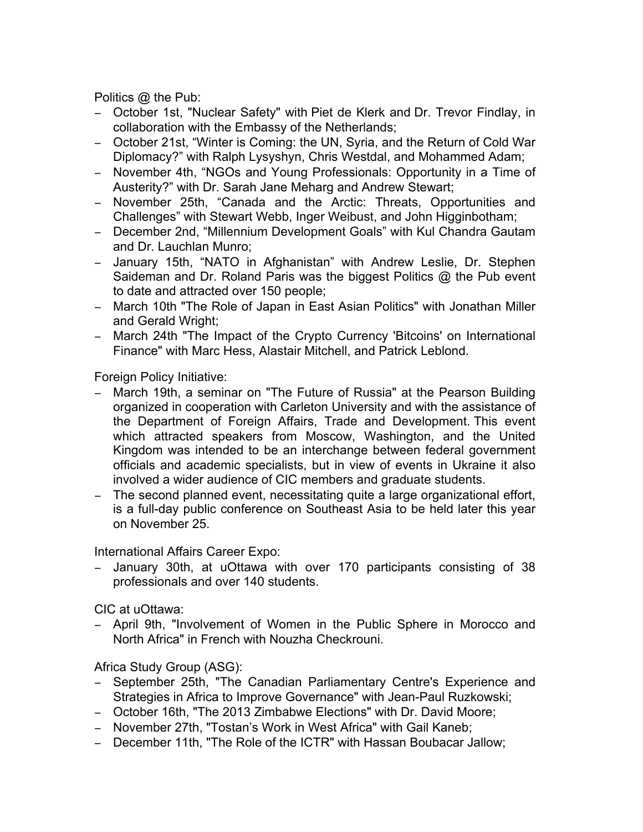Politics @ the Pub:

- − October 1st, "Nuclear Safety" with Piet de Klerk and Dr. Trevor Findlay, in collaboration with the Embassy of the Netherlands;
- − October 21st, "Winter is Coming: the UN, Syria, and the Return of Cold War Diplomacy?" with Ralph Lysyshyn, Chris Westdal, and Mohammed Adam;
- − November 4th, "NGOs and Young Professionals: Opportunity in a Time of Austerity?" with Dr. Sarah Jane Meharg and Andrew Stewart;
- − November 25th, "Canada and the Arctic: Threats, Opportunities and Challenges" with Stewart Webb, Inger Weibust, and John Higginbotham;
- − December 2nd, "Millennium Development Goals" with Kul Chandra Gautam and Dr. Lauchlan Munro;
- − January 15th, "NATO in Afghanistan" with Andrew Leslie, Dr. Stephen Saideman and Dr. Roland Paris was the biggest Politics @ the Pub event to date and attracted over 150 people;
- − March 10th "The Role of Japan in East Asian Politics" with Jonathan Miller and Gerald Wright;
- − March 24th "The Impact of the Crypto Currency 'Bitcoins' on International Finance" with Marc Hess, Alastair Mitchell, and Patrick Leblond.

Foreign Policy Initiative:

- − March 19th, a seminar on "The Future of Russia" at the Pearson Building organized in cooperation with Carleton University and with the assistance of the Department of Foreign Affairs, Trade and Development. This event which attracted speakers from Moscow, Washington, and the United Kingdom was intended to be an interchange between federal government officials and academic specialists, but in view of events in Ukraine it also involved a wider audience of CIC members and graduate students.
- − The second planned event, necessitating quite a large organizational effort, is a full-day public conference on Southeast Asia to be held later this year on November 25.

International Affairs Career Expo:

− January 30th, at uOttawa with over 170 participants consisting of 38 professionals and over 140 students.

CIC at uOttawa:

− April 9th, "Involvement of Women in the Public Sphere in Morocco and North Africa" in French with Nouzha Checkrouni.

Africa Study Group (ASG):

- − September 25th, "The Canadian Parliamentary Centre's Experience and Strategies in Africa to Improve Governance" with Jean-Paul Ruzkowski;
- − October 16th, "The 2013 Zimbabwe Elections" with Dr. David Moore;
- − November 27th, "Tostan's Work in West Africa" with Gail Kaneb;
- − December 11th, "The Role of the ICTR" with Hassan Boubacar Jallow;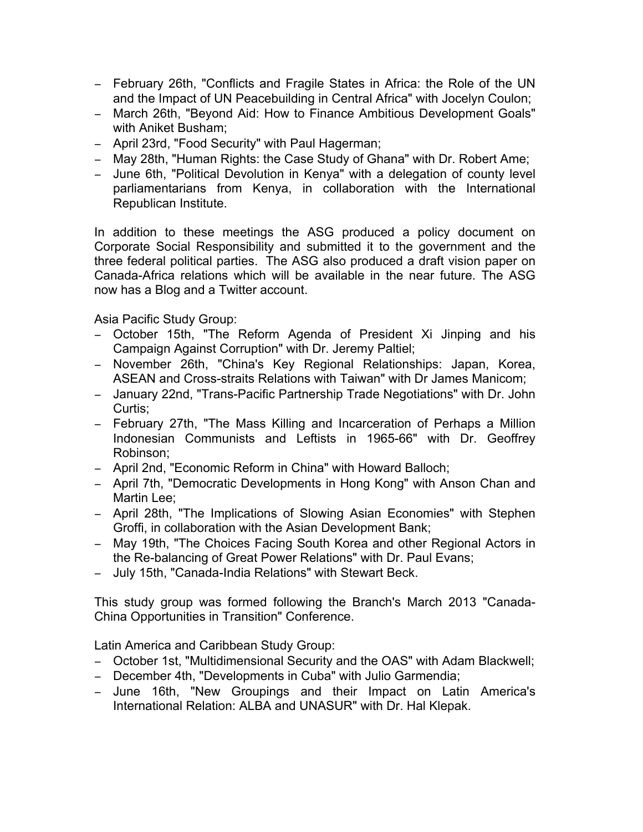- − February 26th, "Conflicts and Fragile States in Africa: the Role of the UN and the Impact of UN Peacebuilding in Central Africa" with Jocelyn Coulon;
- − March 26th, "Beyond Aid: How to Finance Ambitious Development Goals" with Aniket Busham;
- − April 23rd, "Food Security" with Paul Hagerman;
- − May 28th, "Human Rights: the Case Study of Ghana" with Dr. Robert Ame;
- − June 6th, "Political Devolution in Kenya" with a delegation of county level parliamentarians from Kenya, in collaboration with the International Republican Institute.

In addition to these meetings the ASG produced a policy document on Corporate Social Responsibility and submitted it to the government and the three federal political parties. The ASG also produced a draft vision paper on Canada-Africa relations which will be available in the near future. The ASG now has a Blog and a Twitter account.

Asia Pacific Study Group:

- − October 15th, "The Reform Agenda of President Xi Jinping and his Campaign Against Corruption" with Dr. Jeremy Paltiel;
- − November 26th, "China's Key Regional Relationships: Japan, Korea, ASEAN and Cross-straits Relations with Taiwan" with Dr James Manicom;
- − January 22nd, "Trans-Pacific Partnership Trade Negotiations" with Dr. John Curtis;
- − February 27th, "The Mass Killing and Incarceration of Perhaps a Million Indonesian Communists and Leftists in 1965-66" with Dr. Geoffrey Robinson;
- − April 2nd, "Economic Reform in China" with Howard Balloch;
- − April 7th, "Democratic Developments in Hong Kong" with Anson Chan and Martin Lee;
- − April 28th, "The Implications of Slowing Asian Economies" with Stephen Groffi, in collaboration with the Asian Development Bank;
- − May 19th, "The Choices Facing South Korea and other Regional Actors in the Re-balancing of Great Power Relations" with Dr. Paul Evans;
- − July 15th, "Canada-India Relations" with Stewart Beck.

This study group was formed following the Branch's March 2013 "Canada-China Opportunities in Transition" Conference.

Latin America and Caribbean Study Group:

- − October 1st, "Multidimensional Security and the OAS" with Adam Blackwell;
- − December 4th, "Developments in Cuba" with Julio Garmendia;
- − June 16th, "New Groupings and their Impact on Latin America's International Relation: ALBA and UNASUR" with Dr. Hal Klepak.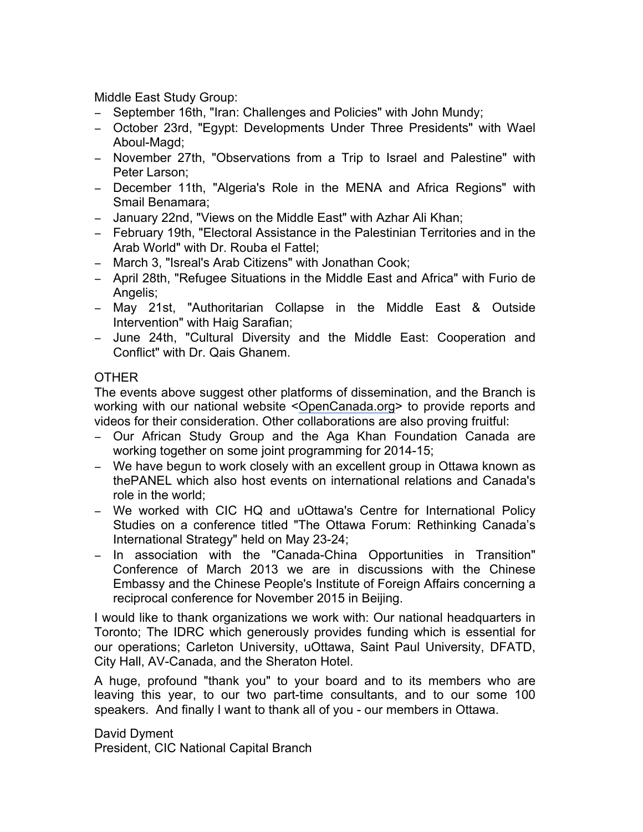Middle East Study Group:

- − September 16th, "Iran: Challenges and Policies" with John Mundy;
- − October 23rd, "Egypt: Developments Under Three Presidents" with Wael Aboul-Magd;
- − November 27th, "Observations from a Trip to Israel and Palestine" with Peter Larson;
- − December 11th, "Algeria's Role in the MENA and Africa Regions" with Smail Benamara;
- − January 22nd, "Views on the Middle East" with Azhar Ali Khan;
- − February 19th, "Electoral Assistance in the Palestinian Territories and in the Arab World" with Dr. Rouba el Fattel;
- − March 3, "Isreal's Arab Citizens" with Jonathan Cook;
- − April 28th, "Refugee Situations in the Middle East and Africa" with Furio de Angelis;
- − May 21st, "Authoritarian Collapse in the Middle East & Outside Intervention" with Haig Sarafian;
- − June 24th, "Cultural Diversity and the Middle East: Cooperation and Conflict" with Dr. Qais Ghanem.

## **OTHER**

The events above suggest other platforms of dissemination, and the Branch is working with our national website <OpenCanada.org> to provide reports and videos for their consideration. Other collaborations are also proving fruitful:

- − Our African Study Group and the Aga Khan Foundation Canada are working together on some joint programming for 2014-15;
- − We have begun to work closely with an excellent group in Ottawa known as thePANEL which also host events on international relations and Canada's role in the world;
- − We worked with CIC HQ and uOttawa's Centre for International Policy Studies on a conference titled "The Ottawa Forum: Rethinking Canada's International Strategy" held on May 23-24;
- − In association with the "Canada-China Opportunities in Transition" Conference of March 2013 we are in discussions with the Chinese Embassy and the Chinese People's Institute of Foreign Affairs concerning a reciprocal conference for November 2015 in Beijing.

I would like to thank organizations we work with: Our national headquarters in Toronto; The IDRC which generously provides funding which is essential for our operations; Carleton University, uOttawa, Saint Paul University, DFATD, City Hall, AV-Canada, and the Sheraton Hotel.

A huge, profound "thank you" to your board and to its members who are leaving this year, to our two part-time consultants, and to our some 100 speakers. And finally I want to thank all of you - our members in Ottawa.

David Dyment President, CIC National Capital Branch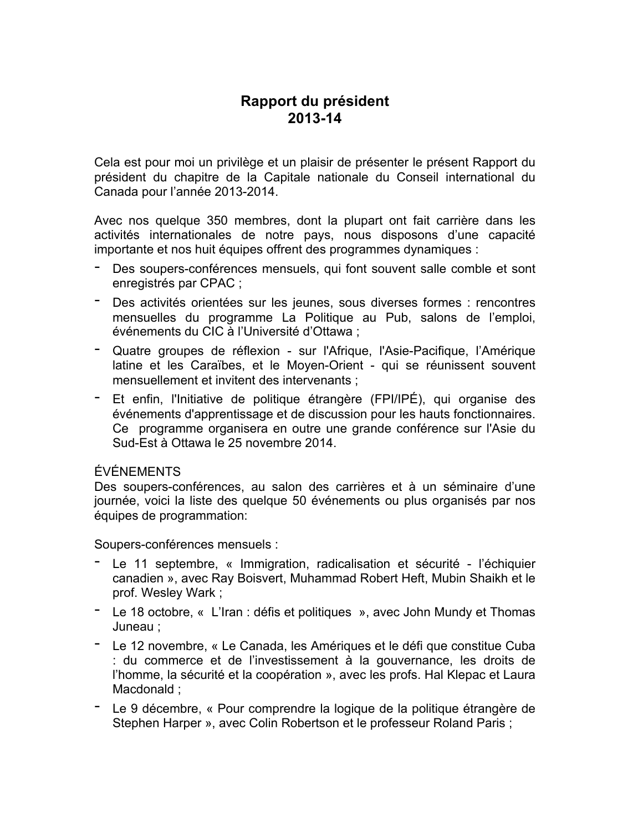# **Rapport du président 2013-14**

Cela est pour moi un privilège et un plaisir de présenter le présent Rapport du président du chapitre de la Capitale nationale du Conseil international du Canada pour l'année 2013-2014.

Avec nos quelque 350 membres, dont la plupart ont fait carrière dans les activités internationales de notre pays, nous disposons d'une capacité importante et nos huit équipes offrent des programmes dynamiques :

- Des soupers-conférences mensuels, qui font souvent salle comble et sont enregistrés par CPAC ;
- Des activités orientées sur les jeunes, sous diverses formes : rencontres mensuelles du programme La Politique au Pub, salons de l'emploi, événements du CIC à l'Université d'Ottawa ;
- Quatre groupes de réflexion sur l'Afrique, l'Asie-Pacifique, l'Amérique latine et les Caraïbes, et le Moyen-Orient - qui se réunissent souvent mensuellement et invitent des intervenants ;
- Et enfin, l'Initiative de politique étrangère (FPI/IPÉ), qui organise des événements d'apprentissage et de discussion pour les hauts fonctionnaires. Ce programme organisera en outre une grande conférence sur l'Asie du Sud-Est à Ottawa le 25 novembre 2014.

#### ÉVÉNEMENTS

Des soupers-conférences, au salon des carrières et à un séminaire d'une journée, voici la liste des quelque 50 événements ou plus organisés par nos équipes de programmation:

Soupers-conférences mensuels :

- Le <sup>11</sup> septembre, « Immigration, radicalisation et sécurité l'échiquier canadien », avec Ray Boisvert, Muhammad Robert Heft, Mubin Shaikh et le prof. Wesley Wark ;
- Le <sup>18</sup> octobre, « L'Iran : défis et politiques », avec John Mundy et Thomas Juneau ;
- Le <sup>12</sup> novembre, « Le Canada, les Amériques et le défi que constitue Cuba : du commerce et de l'investissement à la gouvernance, les droits de l'homme, la sécurité et la coopération », avec les profs. Hal Klepac et Laura Macdonald ;
- Le <sup>9</sup> décembre, « Pour comprendre la logique de la politique étrangère de Stephen Harper », avec Colin Robertson et le professeur Roland Paris ;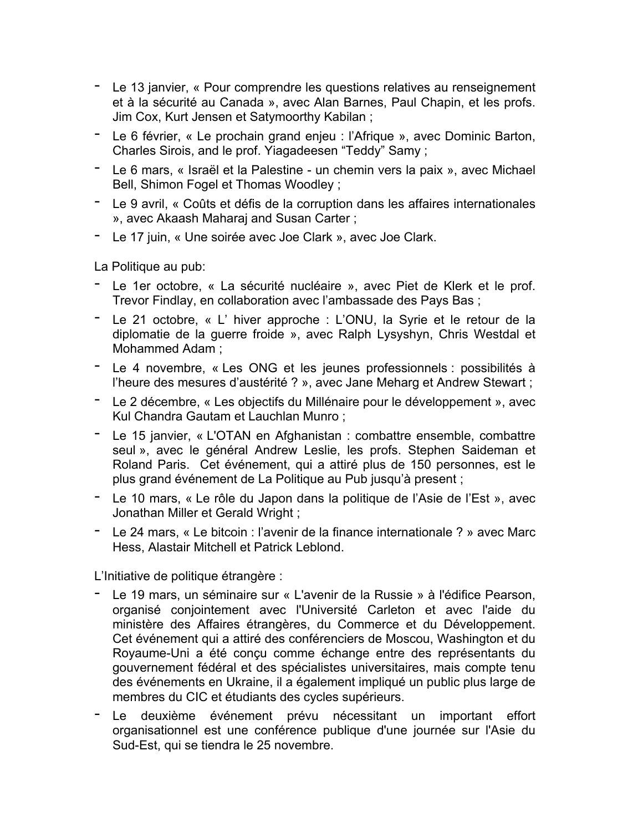- Le 13 janvier, « Pour comprendre les questions relatives au renseignement et à la sécurité au Canada », avec Alan Barnes, Paul Chapin, et les profs. Jim Cox, Kurt Jensen et Satymoorthy Kabilan ;
- Le <sup>6</sup> février, « Le prochain grand enjeu : l'Afrique », avec Dominic Barton, Charles Sirois, and le prof. Yiagadeesen "Teddy" Samy ;
- Le <sup>6</sup> mars, « Israël et la Palestine un chemin vers la paix », avec Michael Bell, Shimon Fogel et Thomas Woodley ;
- Le <sup>9</sup> avril, « Coûts et défis de la corruption dans les affaires internationales », avec Akaash Maharaj and Susan Carter ;
- Le <sup>17</sup> juin, « Une soirée avec Joe Clark », avec Joe Clark.

La Politique au pub:

- Le 1er octobre, « La sécurité nucléaire », avec Piet de Klerk et le prof. Trevor Findlay, en collaboration avec l'ambassade des Pays Bas ;
- Le <sup>21</sup> octobre, « L' hiver approche : L'ONU, la Syrie et le retour de la diplomatie de la guerre froide », avec Ralph Lysyshyn, Chris Westdal et Mohammed Adam ;
- Le <sup>4</sup> novembre, « Les ONG et les jeunes professionnels : possibilités <sup>à</sup> l'heure des mesures d'austérité ? », avec Jane Meharg et Andrew Stewart ;
- Le <sup>2</sup> décembre, « Les objectifs du Millénaire pour le développement », avec Kul Chandra Gautam et Lauchlan Munro ;
- Le <sup>15</sup> janvier, « L'OTAN en Afghanistan : combattre ensemble, combattre seul », avec le général Andrew Leslie, les profs. Stephen Saideman et Roland Paris. Cet événement, qui a attiré plus de 150 personnes, est le plus grand événement de La Politique au Pub jusqu'à present ;
- Le <sup>10</sup> mars, « Le rôle du Japon dans la politique de l'Asie de l'Est », avec Jonathan Miller et Gerald Wright ;
- Le <sup>24</sup> mars, « Le bitcoin : l'avenir de la finance internationale ? » avec Marc Hess, Alastair Mitchell et Patrick Leblond.

L'Initiative de politique étrangère :

- Le 19 mars, un séminaire sur « L'avenir de la Russie » à l'édifice Pearson, organisé conjointement avec l'Université Carleton et avec l'aide du ministère des Affaires étrangères, du Commerce et du Développement. Cet événement qui a attiré des conférenciers de Moscou, Washington et du Royaume-Uni a été conçu comme échange entre des représentants du gouvernement fédéral et des spécialistes universitaires, mais compte tenu des événements en Ukraine, il a également impliqué un public plus large de membres du CIC et étudiants des cycles supérieurs.
- Le deuxième événement prévu nécessitant un important effort organisationnel est une conférence publique d'une journée sur l'Asie du Sud-Est, qui se tiendra le 25 novembre.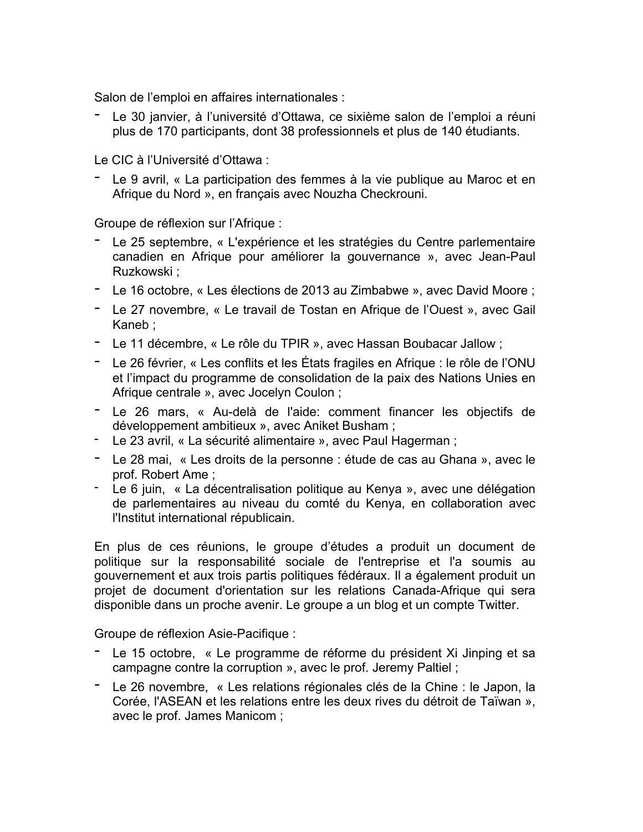Salon de l'emploi en affaires internationales :

- Le <sup>30</sup> janvier, <sup>à</sup> l'université d'Ottawa, ce sixième salon de l'emploi <sup>a</sup> réuni plus de 170 participants, dont 38 professionnels et plus de 140 étudiants.

Le CIC à l'Université d'Ottawa :

- Le <sup>9</sup> avril, « La participation des femmes <sup>à</sup> la vie publique au Maroc et en Afrique du Nord », en français avec Nouzha Checkrouni.

Groupe de réflexion sur l'Afrique :

- Le 25 septembre, « L'expérience et les stratégies du Centre parlementaire canadien en Afrique pour améliorer la gouvernance », avec Jean-Paul Ruzkowski ;
- Le <sup>16</sup> octobre, « Les élections de <sup>2013</sup> au Zimbabwe », avec David Moore ;
- Le <sup>27</sup> novembre, « Le travail de Tostan en Afrique de l'Ouest », avec Gail Kaneb ;
- Le <sup>11</sup> décembre, « Le rôle du TPIR », avec Hassan Boubacar Jallow ;
- Le <sup>26</sup> février, « Les conflits et les États fragiles en Afrique : le rôle de l'ONU et l'impact du programme de consolidation de la paix des Nations Unies en Afrique centrale », avec Jocelyn Coulon ;
- Le <sup>26</sup> mars, « Au-delà de l'aide: comment financer les objectifs de développement ambitieux », avec Aniket Busham ;
- Le 23 avril, « La sécurité alimentaire », avec Paul Hagerman ;
- Le <sup>28</sup> mai, « Les droits de la personne : étude de cas au Ghana », avec le prof. Robert Ame ;<br>- Le 6 juin, « La décentralisation politique au Kenya », avec une délégation
- de parlementaires au niveau du comté du Kenya, en collaboration avec l'Institut international républicain.

En plus de ces réunions, le groupe d'études a produit un document de politique sur la responsabilité sociale de l'entreprise et l'a soumis au gouvernement et aux trois partis politiques fédéraux. Il a également produit un projet de document d'orientation sur les relations Canada-Afrique qui sera disponible dans un proche avenir. Le groupe a un blog et un compte Twitter.

Groupe de réflexion Asie-Pacifique :

- Le <sup>15</sup> octobre, « Le programme de réforme du président Xi Jinping et sa campagne contre la corruption », avec le prof. Jeremy Paltiel ;
- Le <sup>26</sup> novembre, « Les relations régionales clés de la Chine : le Japon, la Corée, l'ASEAN et les relations entre les deux rives du détroit de Taïwan », avec le prof. James Manicom ;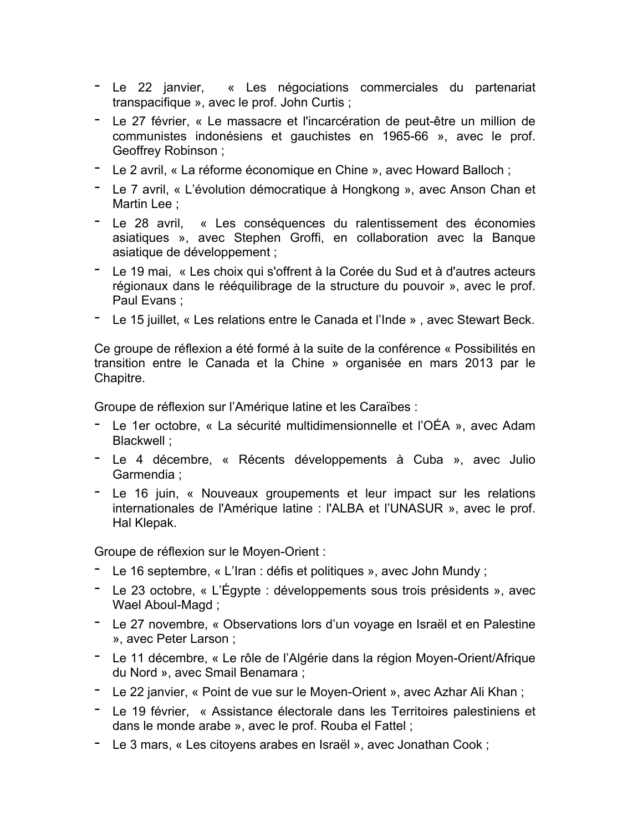- Le <sup>22</sup> janvier, « Les négociations commerciales du partenariat transpacifique », avec le prof. John Curtis ;
- Le <sup>27</sup> février, « Le massacre et l'incarcération de peut-être un million de communistes indonésiens et gauchistes en 1965-66 », avec le prof. Geoffrey Robinson ;
- Le <sup>2</sup> avril, « La réforme économique en Chine », avec Howard Balloch ;
- Le <sup>7</sup> avril, « L'évolution démocratique <sup>à</sup> Hongkong », avec Anson Chan et Martin Lee ;
- Le <sup>28</sup> avril, « Les conséquences du ralentissement des économies asiatiques », avec Stephen Groffi, en collaboration avec la Banque asiatique de développement ;
- Le <sup>19</sup> mai, « Les choix qui s'offrent <sup>à</sup> la Corée du Sud et <sup>à</sup> d'autres acteurs régionaux dans le rééquilibrage de la structure du pouvoir », avec le prof. Paul Evans ;
- Le <sup>15</sup> juillet, « Les relations entre le Canada et l'Inde » , avec Stewart Beck.

Ce groupe de réflexion a été formé à la suite de la conférence « Possibilités en transition entre le Canada et la Chine » organisée en mars 2013 par le Chapitre.

Groupe de réflexion sur l'Amérique latine et les Caraïbes :

- Le 1er octobre, « La sécurité multidimensionnelle et l'OÉA », avec Adam Blackwell ;
- Le 4 décembre, « Récents développements à Cuba », avec Julio Garmendia ;
- Le 16 juin, « Nouveaux groupements et leur impact sur les relations internationales de l'Amérique latine : l'ALBA et l'UNASUR », avec le prof. Hal Klepak.

Groupe de réflexion sur le Moyen-Orient :

- Le <sup>16</sup> septembre, « L'Iran : défis et politiques », avec John Mundy ;
- Le <sup>23</sup> octobre, « L'Égypte : développements sous trois présidents », avec Wael Aboul-Magd ;
- Le <sup>27</sup> novembre, « Observations lors d'un voyage en Israël et en Palestine », avec Peter Larson ;
- Le <sup>11</sup> décembre, « Le rôle de l'Algérie dans la région Moyen-Orient/Afrique du Nord », avec Smail Benamara ;
- Le <sup>22</sup> janvier, « Point de vue sur le Moyen-Orient », avec Azhar Ali Khan ;
- Le <sup>19</sup> février, « Assistance électorale dans les Territoires palestiniens et dans le monde arabe », avec le prof. Rouba el Fattel ;
- Le <sup>3</sup> mars, « Les citoyens arabes en Israël », avec Jonathan Cook ;